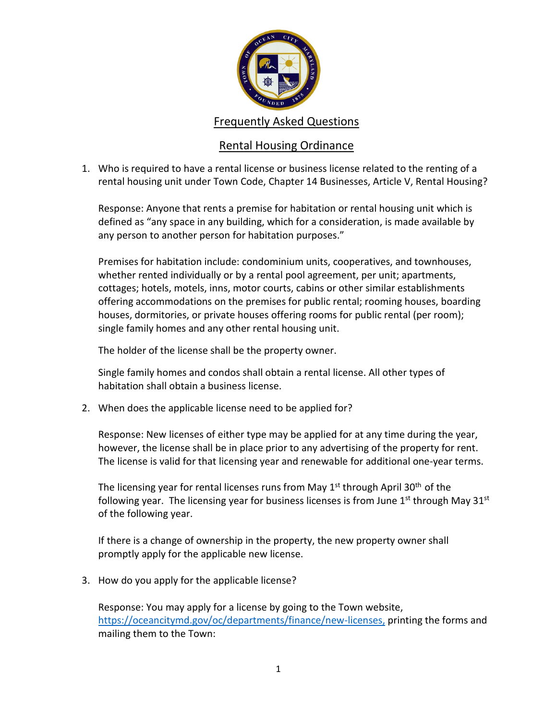

## Frequently Asked Questions

## Rental Housing Ordinance

1. Who is required to have a rental license or business license related to the renting of a rental housing unit under Town Code, Chapter 14 Businesses, Article V, Rental Housing?

Response: Anyone that rents a premise for habitation or rental housing unit which is defined as "any space in any building, which for a consideration, is made available by any person to another person for habitation purposes."

Premises for habitation include: condominium units, cooperatives, and townhouses, whether rented individually or by a rental pool agreement, per unit; apartments, cottages; hotels, motels, inns, motor courts, cabins or other similar establishments offering accommodations on the premises for public rental; rooming houses, boarding houses, dormitories, or private houses offering rooms for public rental (per room); single family homes and any other rental housing unit.

The holder of the license shall be the property owner.

Single family homes and condos shall obtain a rental license. All other types of habitation shall obtain a business license.

2. When does the applicable license need to be applied for?

Response: New licenses of either type may be applied for at any time during the year, however, the license shall be in place prior to any advertising of the property for rent. The license is valid for that licensing year and renewable for additional one-year terms.

The licensing year for rental licenses runs from May  $1<sup>st</sup>$  through April 30<sup>th</sup> of the following year. The licensing year for business licenses is from June  $1^{st}$  through May  $31^{st}$ of the following year.

If there is a change of ownership in the property, the new property owner shall promptly apply for the applicable new license.

3. How do you apply for the applicable license?

Response: You may apply for a license by going to the Town website, [https://oceancitymd.gov/oc/departments/finance/new-licenses,](https://oceancitymd.gov/oc/departments/finance/new-licenses) printing the forms and mailing them to the Town: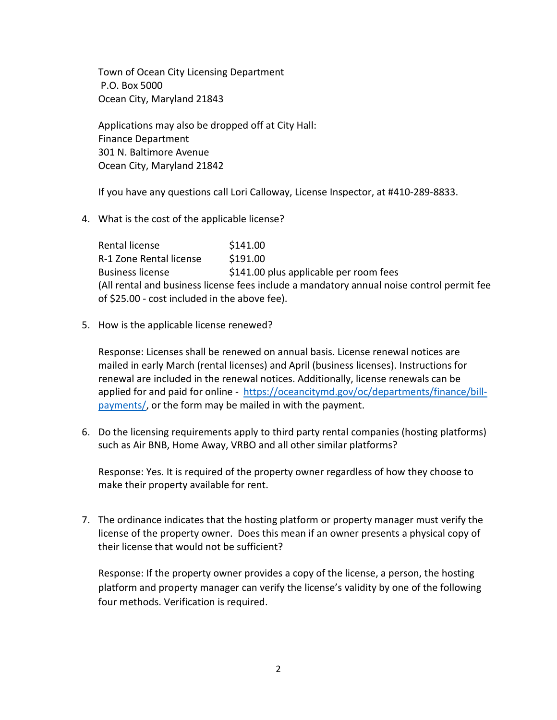Town of Ocean City Licensing Department P.O. Box 5000 Ocean City, Maryland 21843

Applications may also be dropped off at City Hall: Finance Department 301 N. Baltimore Avenue Ocean City, Maryland 21842

If you have any questions call Lori Calloway, License Inspector, at #410-289-8833.

4. What is the cost of the applicable license?

Rental license \$141.00 R-1 Zone Rental license \$191.00 Business license  $$141.00$  plus applicable per room fees (All rental and business license fees include a mandatory annual noise control permit fee of \$25.00 - cost included in the above fee).

5. How is the applicable license renewed?

Response: Licenses shall be renewed on annual basis. License renewal notices are mailed in early March (rental licenses) and April (business licenses). Instructions for renewal are included in the renewal notices. Additionally, license renewals can be applied for and paid for online - [https://oceancitymd.gov/oc/departments/finance/bill](https://oceancitymd.gov/oc/departments/finance/bill-payments/)[payments/,](https://oceancitymd.gov/oc/departments/finance/bill-payments/) or the form may be mailed in with the payment.

6. Do the licensing requirements apply to third party rental companies (hosting platforms) such as Air BNB, Home Away, VRBO and all other similar platforms?

Response: Yes. It is required of the property owner regardless of how they choose to make their property available for rent.

7. The ordinance indicates that the hosting platform or property manager must verify the license of the property owner. Does this mean if an owner presents a physical copy of their license that would not be sufficient?

Response: If the property owner provides a copy of the license, a person, the hosting platform and property manager can verify the license's validity by one of the following four methods. Verification is required.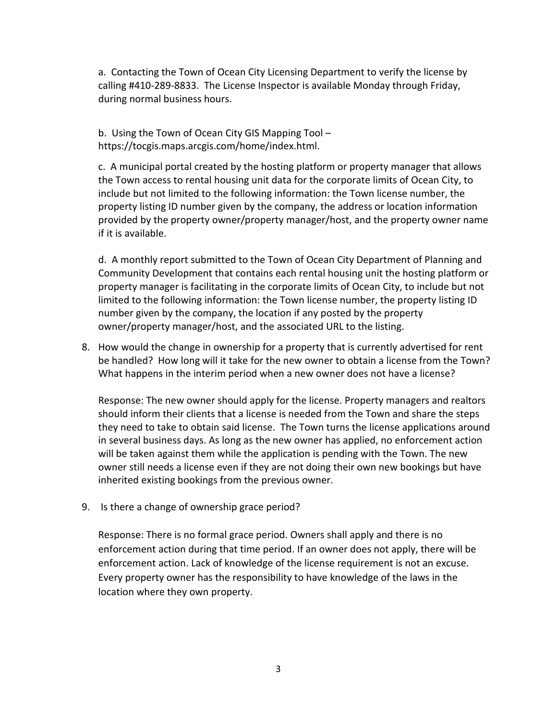a. Contacting the Town of Ocean City Licensing Department to verify the license by calling #410-289-8833. The License Inspector is available Monday through Friday, during normal business hours.

b. Using the Town of Ocean City GIS Mapping Tool – [https://tocgis.maps.arcgis.com/home/index.html.](https://tocgis.maps.arcgis.com/home/index.html)

c. A municipal portal created by the hosting platform or property manager that allows the Town access to rental housing unit data for the corporate limits of Ocean City, to include but not limited to the following information: the Town license number, the property listing ID number given by the company, the address or location information provided by the property owner/property manager/host, and the property owner name if it is available.

d. A monthly report submitted to the Town of Ocean City Department of Planning and Community Development that contains each rental housing unit the hosting platform or property manager is facilitating in the corporate limits of Ocean City, to include but not limited to the following information: the Town license number, the property listing ID number given by the company, the location if any posted by the property owner/property manager/host, and the associated URL to the listing.

8. How would the change in ownership for a property that is currently advertised for rent be handled? How long will it take for the new owner to obtain a license from the Town? What happens in the interim period when a new owner does not have a license?

Response: The new owner should apply for the license. Property managers and realtors should inform their clients that a license is needed from the Town and share the steps they need to take to obtain said license. The Town turns the license applications around in several business days. As long as the new owner has applied, no enforcement action will be taken against them while the application is pending with the Town. The new owner still needs a license even if they are not doing their own new bookings but have inherited existing bookings from the previous owner.

9. Is there a change of ownership grace period?

Response: There is no formal grace period. Owners shall apply and there is no enforcement action during that time period. If an owner does not apply, there will be enforcement action. Lack of knowledge of the license requirement is not an excuse. Every property owner has the responsibility to have knowledge of the laws in the location where they own property.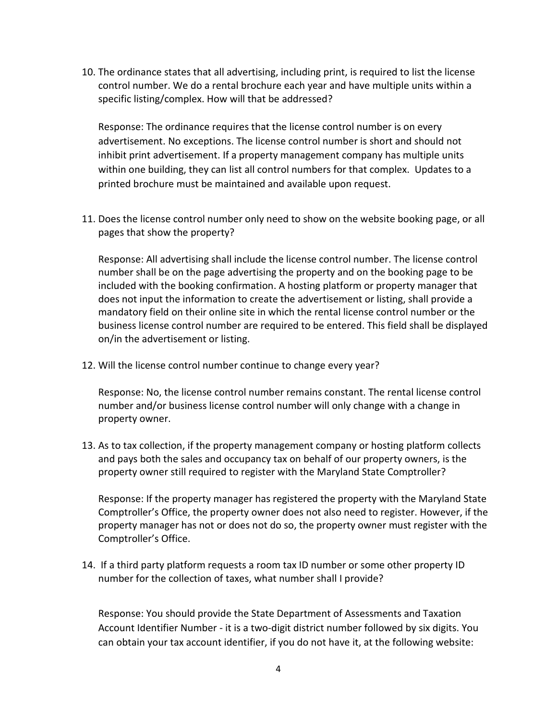10. The ordinance states that all advertising, including print, is required to list the license control number. We do a rental brochure each year and have multiple units within a specific listing/complex. How will that be addressed?

Response: The ordinance requires that the license control number is on every advertisement. No exceptions. The license control number is short and should not inhibit print advertisement. If a property management company has multiple units within one building, they can list all control numbers for that complex. Updates to a printed brochure must be maintained and available upon request.

11. Does the license control number only need to show on the website booking page, or all pages that show the property?

Response: All advertising shall include the license control number. The license control number shall be on the page advertising the property and on the booking page to be included with the booking confirmation. A hosting platform or property manager that does not input the information to create the advertisement or listing, shall provide a mandatory field on their online site in which the rental license control number or the business license control number are required to be entered. This field shall be displayed on/in the advertisement or listing.

12. Will the license control number continue to change every year?

Response: No, the license control number remains constant. The rental license control number and/or business license control number will only change with a change in property owner.

13. As to tax collection, if the property management company or hosting platform collects and pays both the sales and occupancy tax on behalf of our property owners, is the property owner still required to register with the Maryland State Comptroller?

Response: If the property manager has registered the property with the Maryland State Comptroller's Office, the property owner does not also need to register. However, if the property manager has not or does not do so, the property owner must register with the Comptroller's Office.

14. If a third party platform requests a room tax ID number or some other property ID number for the collection of taxes, what number shall I provide?

Response: You should provide the State Department of Assessments and Taxation Account Identifier Number - it is a two-digit district number followed by six digits. You can obtain your tax account identifier, if you do not have it, at the following website: